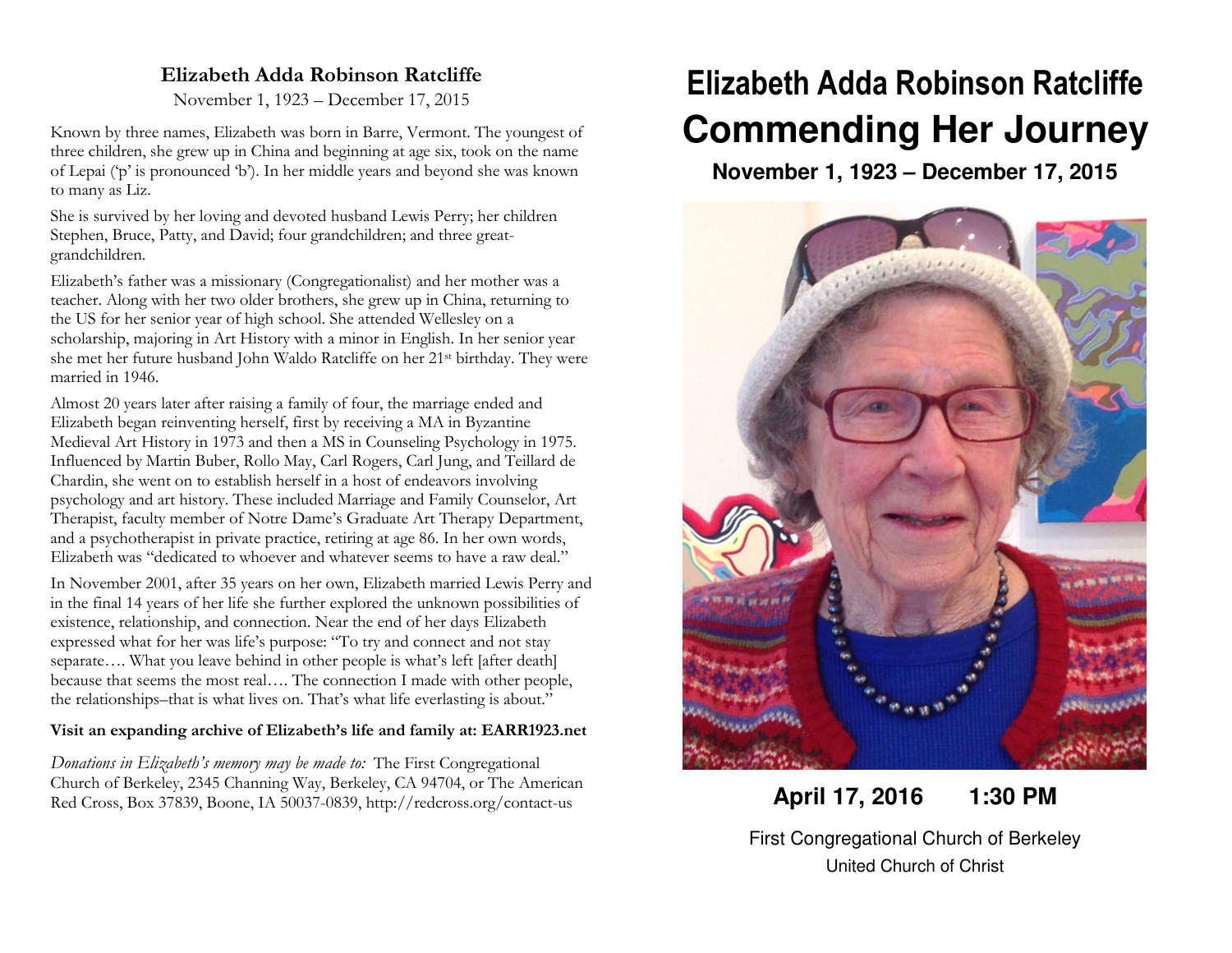### **Elizabeth Adda Robinson Ratcliffe**

November 1, 1923 – December 17, 2015

Known by three names, Elizabeth was born in Barre, Vermont. The youngest of three children, she grew up in China and beginning at age six, took on the name of Lepai ('p' is pronounced 'b'). In her middle years and beyond she was known to many as Liz.

She is survived by her loving and devoted husband Lewis Perry; her children Stephen, Bruce, Patty, and David; four grandchildren; and three greatgrandchildren.

Elizabeth's father was a missionary (Congregationalist) and her mother was a teacher. Along with her two older brothers, she grew up in China, returning to the US for her senior year of high school. She attended Wellesley on a scholarship, majoring in Art History with a minor in English. In her senior year she met her future husband John Waldo Ratcliffe on her 21st birthday. They were married in 1946.

Almost 20 years later after raising a family of four, the marriage ended and Elizabeth began reinventing herself, first by receiving a MA in Byzantine Medieval Art History in 1973 and then a MS in Counseling Psychology in 1975. Influenced by Martin Buber, Rollo May, Carl Rogers, Carl Jung, and Teillard de Chardin, she went on to establish herself in a host of endeavors involving psychology and art history. These included Marriage and Family Counselor, Art Therapist, faculty member of Notre Dame's Graduate Art Therapy Department, and a psychotherapist in private practice, retiring at age 86. In her own words, Elizabeth was "dedicated to whoever and whatever seems to have a raw deal."

In November 2001, after 35 years on her own, Elizabeth married Lewis Perry and in the final 14 years of her life she further explored the unknown possibilities of existence, relationship, and connection. Near the end of her days Elizabeth expressed what for her was life's purpose: "To try and connect and not stay separate.... What you leave behind in other people is what's left [after death] because that seems the most real…. The connection I made with other people, the relationships–that is what lives on. That's what life everlasting is about."

### **Visit an expanding archive of Elizabeth's life and family at: EARR1923.net**

*Donations in Elizabeth's memory may be made to:* The First Congregational Church of Berkeley, 2345 Channing Way, Berkeley, CA 94704, or The American Red Cross, Box 37839, Boone, IA 50037-0839, http://redcross.org/contact-us

# **Elizabeth Adda Robinson Ratcliffe Commending Her Journey**

**November 1, 1923 – December 17, 2015** 



## **April 17, 2016 1:30 PM**

First Congregational Church of Berkeley United Church of Christ